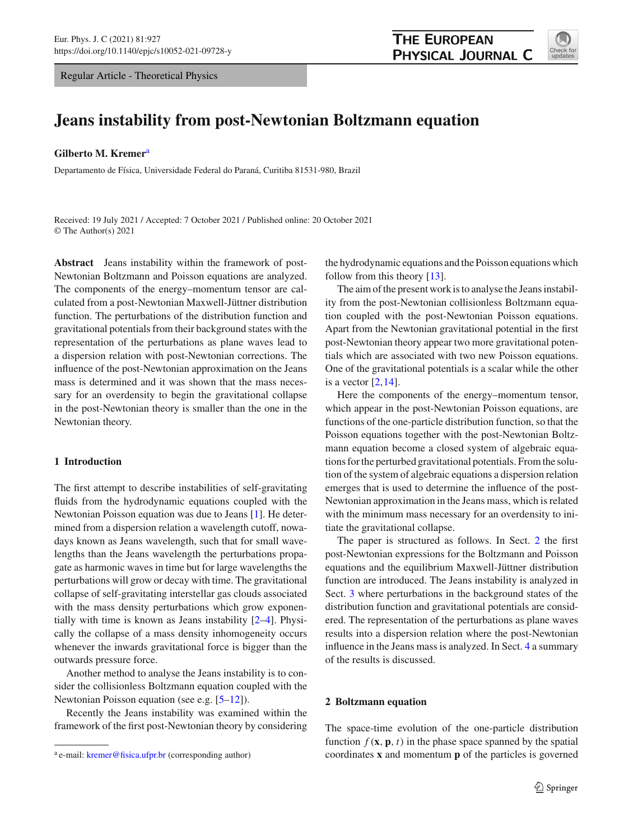Regular Article - Theoretical Physics



# **Jeans instability from post-Newtonian Boltzmann equation**

**Gilberto M. Kremer**<sup>a</sup>

Departamento de Física, Universidade Federal do Paraná, Curitiba 81531-980, Brazil

Received: 19 July 2021 / Accepted: 7 October 2021 / Published online: 20 October 2021 © The Author(s) 2021

**Abstract** Jeans instability within the framework of post-Newtonian Boltzmann and Poisson equations are analyzed. The components of the energy–momentum tensor are calculated from a post-Newtonian Maxwell-Jüttner distribution function. The perturbations of the distribution function and gravitational potentials from their background states with the representation of the perturbations as plane waves lead to a dispersion relation with post-Newtonian corrections. The influence of the post-Newtonian approximation on the Jeans mass is determined and it was shown that the mass necessary for an overdensity to begin the gravitational collapse in the post-Newtonian theory is smaller than the one in the Newtonian theory.

# **1 Introduction**

The first attempt to describe instabilities of self-gravitating fluids from the hydrodynamic equations coupled with the Newtonian Poisson equation was due to Jeans [\[1\]](#page-5-0). He determined from a dispersion relation a wavelength cutoff, nowadays known as Jeans wavelength, such that for small wavelengths than the Jeans wavelength the perturbations propagate as harmonic waves in time but for large wavelengths the perturbations will grow or decay with time. The gravitational collapse of self-gravitating interstellar gas clouds associated with the mass density perturbations which grow exponentially with time is known as Jeans instability [\[2](#page-5-1)[–4\]](#page-5-2). Physically the collapse of a mass density inhomogeneity occurs whenever the inwards gravitational force is bigger than the outwards pressure force.

Another method to analyse the Jeans instability is to consider the collisionless Boltzmann equation coupled with the Newtonian Poisson equation (see e.g. [\[5](#page-5-3)[–12\]](#page-5-4)).

Recently the Jeans instability was examined within the framework of the first post-Newtonian theory by considering the hydrodynamic equations and the Poisson equations which follow from this theory [\[13](#page-5-5)].

The aim of the present work is to analyse the Jeans instability from the post-Newtonian collisionless Boltzmann equation coupled with the post-Newtonian Poisson equations. Apart from the Newtonian gravitational potential in the first post-Newtonian theory appear two more gravitational potentials which are associated with two new Poisson equations. One of the gravitational potentials is a scalar while the other is a vector  $[2,14]$  $[2,14]$ .

Here the components of the energy–momentum tensor, which appear in the post-Newtonian Poisson equations, are functions of the one-particle distribution function, so that the Poisson equations together with the post-Newtonian Boltzmann equation become a closed system of algebraic equations for the perturbed gravitational potentials. From the solution of the system of algebraic equations a dispersion relation emerges that is used to determine the influence of the post-Newtonian approximation in the Jeans mass, which is related with the minimum mass necessary for an overdensity to initiate the gravitational collapse.

The paper is structured as follows. In Sect. [2](#page-0-0) the first post-Newtonian expressions for the Boltzmann and Poisson equations and the equilibrium Maxwell-Jüttner distribution function are introduced. The Jeans instability is analyzed in Sect. [3](#page-1-0) where perturbations in the background states of the distribution function and gravitational potentials are considered. The representation of the perturbations as plane waves results into a dispersion relation where the post-Newtonian influence in the Jeans mass is analyzed. In Sect. [4](#page-5-7) a summary of the results is discussed.

#### <span id="page-0-0"></span>**2 Boltzmann equation**

The space-time evolution of the one-particle distribution function  $f(\mathbf{x}, \mathbf{p}, t)$  in the phase space spanned by the spatial coordinates **x** and momentum **p** of the particles is governed

<sup>&</sup>lt;sup>a</sup> e-mail: [kremer@fisica.ufpr.br](mailto:kremer@fisica.ufpr.br) (corresponding author)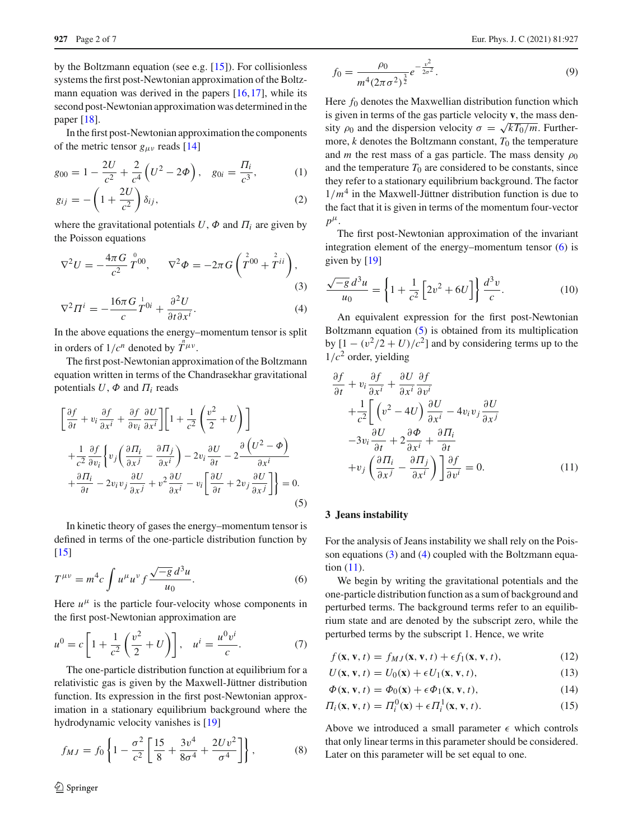by the Boltzmann equation (see e.g. [\[15\]](#page-5-8)). For collisionless systems the first post-Newtonian approximation of the Boltzmann equation was derived in the papers [\[16,](#page-5-9)[17\]](#page-5-10), while its second post-Newtonian approximation was determined in the paper [\[18\]](#page-6-0).

In the first post-Newtonian approximation the components of the metric tensor  $g_{\mu\nu}$  reads [\[14](#page-5-6)]

$$
g_{00} = 1 - \frac{2U}{c^2} + \frac{2}{c^4} \left( U^2 - 2\Phi \right), \quad g_{0i} = \frac{\Pi_i}{c^3}, \tag{1}
$$

$$
g_{ij} = -\left(1 + \frac{2U}{c^2}\right)\delta_{ij},\tag{2}
$$

where the gravitational potentials  $U$ ,  $\Phi$  and  $\Pi$ <sub>*i*</sub> are given by the Poisson equations

<span id="page-1-3"></span>
$$
\nabla^2 U = -\frac{4\pi G}{c^2} \stackrel{0}{T}{}^{00}, \qquad \nabla^2 \Phi = -2\pi G \left( \stackrel{2}{T}{}^{00} + \stackrel{2}{T}{}^{ii} \right), \tag{3}
$$

$$
\nabla^2 \Pi^i = -\frac{16\pi G}{c} \frac{1}{T} 0i + \frac{\partial^2 U}{\partial t \partial x^i}.
$$
 (4)

In the above equations the energy–momentum tensor is split in orders of  $1/c^n$  denoted by  $T^{\mu\nu}$ .

The first post-Newtonian approximation of the Boltzmann equation written in terms of the Chandrasekhar gravitational potentials  $U$ ,  $\Phi$  and  $\Pi$ <sub>*i*</sub> reads

<span id="page-1-2"></span>
$$
\left[\frac{\partial f}{\partial t} + v_i \frac{\partial f}{\partial x^i} + \frac{\partial f}{\partial v_i} \frac{\partial U}{\partial x^i}\right] \left[1 + \frac{1}{c^2} \left(\frac{v^2}{2} + U\right)\right] \n+ \frac{1}{c^2} \frac{\partial f}{\partial v_i} \left\{ v_j \left(\frac{\partial \Pi_i}{\partial x^j} - \frac{\partial \Pi_j}{\partial x^i}\right) - 2v_i \frac{\partial U}{\partial t} - 2 \frac{\partial (U^2 - \Phi)}{\partial x^i} \right. \n+ \frac{\partial \Pi_i}{\partial t} - 2v_i v_j \frac{\partial U}{\partial x^j} + v^2 \frac{\partial U}{\partial x^i} - v_i \left[\frac{\partial U}{\partial t} + 2v_j \frac{\partial U}{\partial x^j}\right] \right\} = 0.
$$
\n(5)

In kinetic theory of gases the energy–momentum tensor is defined in terms of the one-particle distribution function by  $[15]$  $[15]$ 

<span id="page-1-1"></span>
$$
T^{\mu\nu} = m^4 c \int u^{\mu} u^{\nu} f \frac{\sqrt{-g} d^3 u}{u_0}.
$$
 (6)

Here  $u^{\mu}$  is the particle four-velocity whose components in the first post-Newtonian approximation are

<span id="page-1-6"></span>
$$
u^{0} = c \left[ 1 + \frac{1}{c^{2}} \left( \frac{v^{2}}{2} + U \right) \right], \quad u^{i} = \frac{u^{0} v^{i}}{c}.
$$
 (7)

The one-particle distribution function at equilibrium for a relativistic gas is given by the Maxwell-Jüttner distribution function. Its expression in the first post-Newtonian approximation in a stationary equilibrium background where the hydrodynamic velocity vanishes is [\[19](#page-6-1)]

$$
f_{MJ} = f_0 \left\{ 1 - \frac{\sigma^2}{c^2} \left[ \frac{15}{8} + \frac{3v^4}{8\sigma^4} + \frac{2Uv^2}{\sigma^4} \right] \right\},
$$
 (8)

$$
f_0 = \frac{\rho_0}{m^4 (2\pi\sigma^2)^{\frac{3}{2}}} e^{-\frac{v^2}{2\sigma^2}}.
$$
\n(9)

Here  $f_0$  denotes the Maxwellian distribution function which is given in terms of the gas particle velocity **v**, the mass density  $\rho_0$  and the dispersion velocity  $\sigma = \sqrt{kT_0/m}$ . Furthermore,  $k$  denotes the Boltzmann constant,  $T_0$  the temperature and *m* the rest mass of a gas particle. The mass density  $\rho_0$ and the temperature  $T_0$  are considered to be constants, since they refer to a stationary equilibrium background. The factor  $1/m<sup>4</sup>$  in the Maxwell-Jüttner distribution function is due to the fact that it is given in terms of the momentum four-vector  $p^{\mu}$ .

The first post-Newtonian approximation of the invariant integration element of the energy–momentum tensor [\(6\)](#page-1-1) is given by [\[19](#page-6-1)]

<span id="page-1-7"></span>
$$
\frac{\sqrt{-g} d^3 u}{u_0} = \left\{ 1 + \frac{1}{c^2} \left[ 2v^2 + 6U \right] \right\} \frac{d^3 v}{c}.
$$
 (10)

An equivalent expression for the first post-Newtonian Boltzmann equation [\(5\)](#page-1-2) is obtained from its multiplication by  $[1 - (v^2/2 + U)/c^2]$  and by considering terms up to the  $1/c<sup>2</sup>$  order, yielding

<span id="page-1-4"></span>
$$
\frac{\partial f}{\partial t} + v_i \frac{\partial f}{\partial x^i} + \frac{\partial U}{\partial x^i} \frac{\partial f}{\partial v^i} \n+ \frac{1}{c^2} \bigg[ \left( v^2 - 4U \right) \frac{\partial U}{\partial x^i} - 4v_i v_j \frac{\partial U}{\partial x^j} \n- 3v_i \frac{\partial U}{\partial t} + 2 \frac{\partial \Phi}{\partial x^i} + \frac{\partial \Pi_i}{\partial t} \n+ v_j \left( \frac{\partial \Pi_i}{\partial x^j} - \frac{\partial \Pi_j}{\partial x^i} \right) \bigg] \frac{\partial f}{\partial v^i} = 0.
$$
\n(11)

# <span id="page-1-0"></span>**3 Jeans instability**

For the analysis of Jeans instability we shall rely on the Poisson equations [\(3\)](#page-1-3) and [\(4\)](#page-1-3) coupled with the Boltzmann equation [\(11\)](#page-1-4).

We begin by writing the gravitational potentials and the one-particle distribution function as a sum of background and perturbed terms. The background terms refer to an equilibrium state and are denoted by the subscript zero, while the perturbed terms by the subscript 1. Hence, we write

<span id="page-1-5"></span>
$$
f(\mathbf{x}, \mathbf{v}, t) = f_{MJ}(\mathbf{x}, \mathbf{v}, t) + \epsilon f_1(\mathbf{x}, \mathbf{v}, t),
$$
 (12)

$$
U(\mathbf{x}, \mathbf{v}, t) = U_0(\mathbf{x}) + \epsilon U_1(\mathbf{x}, \mathbf{v}, t), \tag{13}
$$

$$
\Phi(\mathbf{x}, \mathbf{v}, t) = \Phi_0(\mathbf{x}) + \epsilon \Phi_1(\mathbf{x}, \mathbf{v}, t), \tag{14}
$$

$$
\Pi_i(\mathbf{x}, \mathbf{v}, t) = \Pi_i^0(\mathbf{x}) + \epsilon \Pi_i^1(\mathbf{x}, \mathbf{v}, t).
$$
 (15)

Above we introduced a small parameter  $\epsilon$  which controls that only linear terms in this parameter should be considered. Later on this parameter will be set equal to one.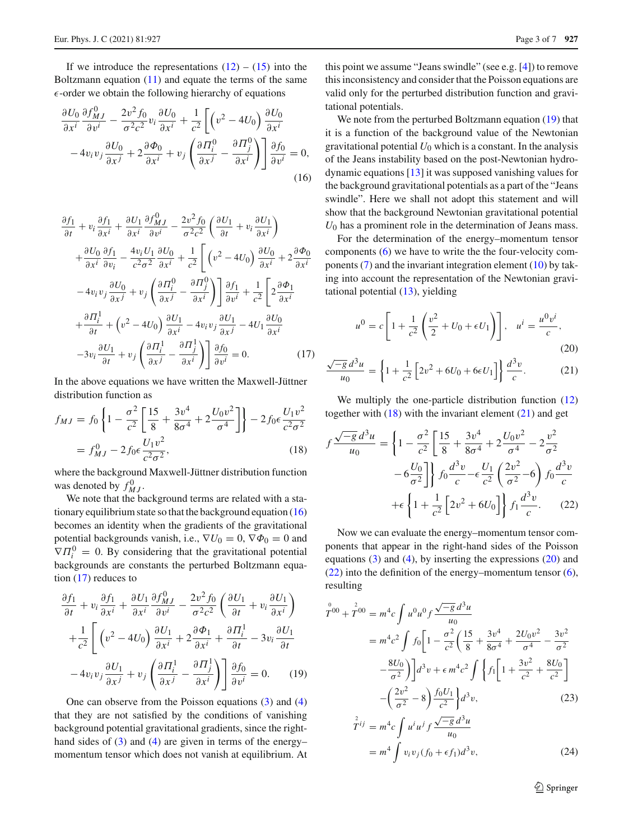If we introduce the representations  $(12) - (15)$  $(12) - (15)$  $(12) - (15)$  into the Boltzmann equation [\(11\)](#page-1-4) and equate the terms of the same  $\epsilon$ -order we obtain the following hierarchy of equations

<span id="page-2-0"></span>
$$
\frac{\partial U_0}{\partial x^i} \frac{\partial f_{MJ}^0}{\partial v^i} - \frac{2v^2 f_0}{\sigma^2 c^2} v_i \frac{\partial U_0}{\partial x^i} + \frac{1}{c^2} \left[ \left( v^2 - 4U_0 \right) \frac{\partial U_0}{\partial x^i} - 4v_i v_j \frac{\partial U_0}{\partial x^j} + 2 \frac{\partial \Phi_0}{\partial x^i} + v_j \left( \frac{\partial H_i^0}{\partial x^j} - \frac{\partial H_j^0}{\partial x^i} \right) \right] \frac{\partial f_0}{\partial v^i} = 0,
$$
\n(16)

<span id="page-2-1"></span>
$$
\frac{\partial f_1}{\partial t} + v_i \frac{\partial f_1}{\partial x^i} + \frac{\partial U_1}{\partial x^i} \frac{\partial f_{MJ}^0}{\partial v^i} - \frac{2v^2 f_0}{\sigma^2 c^2} \left( \frac{\partial U_1}{\partial t} + v_i \frac{\partial U_1}{\partial x^i} \right) \n+ \frac{\partial U_0}{\partial x^i} \frac{\partial f_1}{\partial v_i} - \frac{4v_i U_1}{c^2 \sigma^2} \frac{\partial U_0}{\partial x^i} + \frac{1}{c^2} \left[ \left( v^2 - 4U_0 \right) \frac{\partial U_0}{\partial x^i} + 2 \frac{\partial \Phi_0}{\partial x^i} \right] \n- 4v_i v_j \frac{\partial U_0}{\partial x^j} + v_j \left( \frac{\partial H_i^0}{\partial x^j} - \frac{\partial H_j^0}{\partial x^i} \right) \frac{\partial f_1}{\partial v^i} + \frac{1}{c^2} \left[ 2 \frac{\partial \Phi_1}{\partial x^i} \right] \n+ \frac{\partial H_i^1}{\partial t} + \left( v^2 - 4U_0 \right) \frac{\partial U_1}{\partial x^i} - 4v_i v_j \frac{\partial U_1}{\partial x^j} - 4U_1 \frac{\partial U_0}{\partial x^i} \n- 3v_i \frac{\partial U_1}{\partial t} + v_j \left( \frac{\partial H_i^1}{\partial x^j} - \frac{\partial H_j^1}{\partial x^i} \right) \frac{\partial f_0}{\partial v^i} = 0.
$$
\n(17)

In the above equations we have written the Maxwell-Jüttner distribution function as

<span id="page-2-3"></span>
$$
f_{MJ} = f_0 \left\{ 1 - \frac{\sigma^2}{c^2} \left[ \frac{15}{8} + \frac{3v^4}{8\sigma^4} + 2 \frac{U_0 v^2}{\sigma^4} \right] \right\} - 2f_0 \epsilon \frac{U_1 v^2}{c^2 \sigma^2}
$$
  
=  $f_{MJ}^0 - 2f_0 \epsilon \frac{U_1 v^2}{c^2 \sigma^2}$ , (18)

where the background Maxwell-Jüttner distribution function was denoted by  $f_{MJ}^0$ .

We note that the background terms are related with a stationary equilibrium state so that the background equation  $(16)$ becomes an identity when the gradients of the gravitational potential backgrounds vanish, i.e.,  $\nabla U_0 = 0$ ,  $\nabla \Phi_0 = 0$  and  $\nabla \Pi_i^0 = 0$ . By considering that the gravitational potential backgrounds are constants the perturbed Boltzmann equation [\(17\)](#page-2-1) reduces to

<span id="page-2-2"></span>
$$
\frac{\partial f_1}{\partial t} + v_i \frac{\partial f_1}{\partial x^i} + \frac{\partial U_1}{\partial x^i} \frac{\partial f_{MJ}^0}{\partial v^i} - \frac{2v^2 f_0}{\sigma^2 c^2} \left( \frac{\partial U_1}{\partial t} + v_i \frac{\partial U_1}{\partial x^i} \right) \n+ \frac{1}{c^2} \left[ \left( v^2 - 4U_0 \right) \frac{\partial U_1}{\partial x^i} + 2 \frac{\partial \Phi_1}{\partial x^i} + \frac{\partial \Pi_i^1}{\partial t} - 3v_i \frac{\partial U_1}{\partial t} \n- 4v_i v_j \frac{\partial U_1}{\partial x^j} + v_j \left( \frac{\partial \Pi_i^1}{\partial x^j} - \frac{\partial \Pi_j^1}{\partial x^i} \right) \right] \frac{\partial f_0}{\partial v^i} = 0.
$$
\n(19)

One can observe from the Poisson equations [\(3\)](#page-1-3) and [\(4\)](#page-1-3) that they are not satisfied by the conditions of vanishing background potential gravitational gradients, since the righthand sides of  $(3)$  and  $(4)$  are given in terms of the energymomentum tensor which does not vanish at equilibrium. At

this point we assume "Jeans swindle" (see e.g. [\[4\]](#page-5-2)) to remove this inconsistency and consider that the Poisson equations are valid only for the perturbed distribution function and gravitational potentials.

We note from the perturbed Boltzmann equation [\(19\)](#page-2-2) that it is a function of the background value of the Newtonian gravitational potential  $U_0$  which is a constant. In the analysis of the Jeans instability based on the post-Newtonian hydrodynamic equations [\[13\]](#page-5-5) it was supposed vanishing values for the background gravitational potentials as a part of the "Jeans swindle". Here we shall not adopt this statement and will show that the background Newtonian gravitational potential  $U_0$  has a prominent role in the determination of Jeans mass.

For the determination of the energy–momentum tensor components [\(6\)](#page-1-1) we have to write the the four-velocity components [\(7\)](#page-1-6) and the invariant integration element [\(10\)](#page-1-7) by taking into account the representation of the Newtonian gravitational potential [\(13\)](#page-1-5), yielding

<span id="page-2-4"></span>
$$
u^{0} = c \left[ 1 + \frac{1}{c^{2}} \left( \frac{v^{2}}{2} + U_{0} + \epsilon U_{1} \right) \right], \quad u^{i} = \frac{u^{0} v^{i}}{c},
$$
\n(20)

$$
\frac{\sqrt{-g}\,d^3u}{u_0} = \left\{1 + \frac{1}{c^2} \left[2v^2 + 6U_0 + 6\epsilon U_1\right]\right\} \frac{d^3v}{c}.
$$
 (21)

We multiply the one-particle distribution function  $(12)$ together with  $(18)$  with the invariant element  $(21)$  and get

<span id="page-2-5"></span>
$$
f \frac{\sqrt{-g} d^3 u}{u_0} = \left\{ 1 - \frac{\sigma^2}{c^2} \left[ \frac{15}{8} + \frac{3v^4}{8\sigma^4} + 2 \frac{U_0 v^2}{\sigma^4} - 2 \frac{v^2}{\sigma^2} -6 \frac{U_0}{\sigma^2} \right] \right\} f_0 \frac{d^3 v}{c} - \epsilon \frac{U_1}{c^2} \left( \frac{2v^2}{\sigma^2} - 6 \right) f_0 \frac{d^3 v}{c} + \epsilon \left\{ 1 + \frac{1}{c^2} \left[ 2v^2 + 6U_0 \right] \right\} f_1 \frac{d^3 v}{c} . \tag{22}
$$

Now we can evaluate the energy–momentum tensor components that appear in the right-hand sides of the Poisson equations  $(3)$  and  $(4)$ , by inserting the expressions  $(20)$  and [\(22\)](#page-2-5) into the definition of the energy–momentum tensor [\(6\)](#page-1-1), resulting

<span id="page-2-6"></span>
$$
\int_{0}^{0} \cos \theta + \vec{T}^{00} = m^{4}c \int u^{0}u^{0}f \frac{\sqrt{-g} d^{3}u}{u_{0}}
$$
  
\n
$$
= m^{4}c^{2} \int f_{0} \left[ 1 - \frac{\sigma^{2}}{c^{2}} \left( \frac{15}{8} + \frac{3v^{4}}{8\sigma^{4}} + \frac{2U_{0}v^{2}}{\sigma^{4}} - \frac{3v^{2}}{\sigma^{2}} - \frac{8U_{0}}{\sigma^{2}} \right) \right] d^{3}v + \epsilon m^{4}c^{2} \int \left\{ f_{1} \left[ 1 + \frac{3v^{2}}{c^{2}} + \frac{8U_{0}}{c^{2}} \right] - \left( \frac{2v^{2}}{\sigma^{2}} - 8 \right) \frac{f_{0}U_{1}}{c^{2}} \right\} d^{3}v, \tag{23}
$$

$$
T^{ij} = m^4 c \int u^i u^j f \frac{\sqrt{-g} u u}{u_0}
$$
  
=  $m^4 \int v_i v_j (f_0 + \epsilon f_1) d^3 v,$  (24)

<sup>2</sup> Springer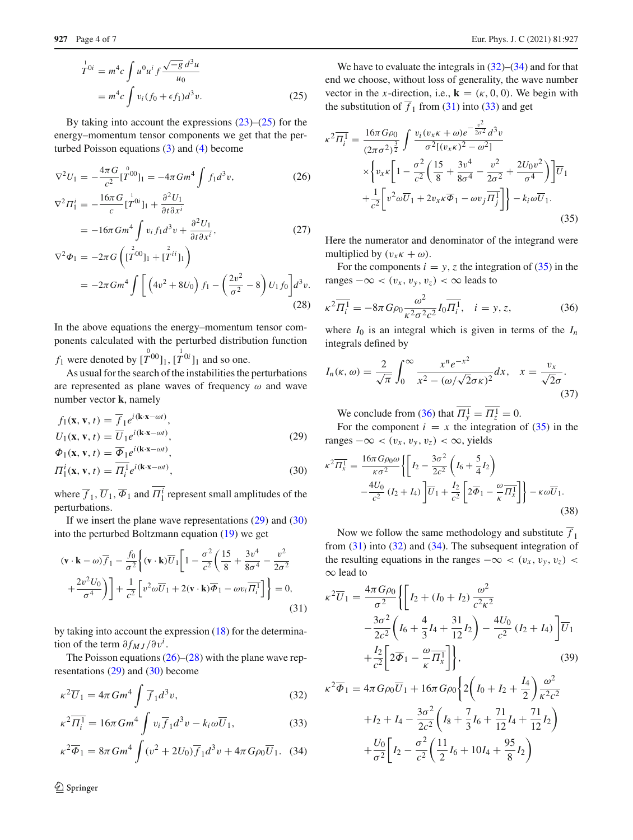$$
\begin{aligned}\n\overset{1}{T}^{0i} &= m^4 c \int u^0 u^i f \frac{\sqrt{-g} \, d^3 u}{u_0} \\
&= m^4 c \int v_i (f_0 + \epsilon f_1) d^3 v.\n\end{aligned} \tag{25}
$$

By taking into account the expressions  $(23)$ – $(25)$  for the energy–momentum tensor components we get that the perturbed Poisson equations [\(3\)](#page-1-3) and [\(4\)](#page-1-3) become

<span id="page-3-1"></span>
$$
\nabla^2 U_1 = -\frac{4\pi G}{c^2} [\stackrel{\circ}{T}^{00}]_1 = -4\pi G m^4 \int f_1 d^3 v,
$$
\n(26)  
\n
$$
\nabla^2 \Pi_1^i = -\frac{16\pi G}{c} [\stackrel{\circ}{T}^{0i}]_1 + \frac{\partial^2 U_1}{\partial t \partial x^i}
$$
\n
$$
= -16\pi G m^4 \int v_i f_1 d^3 v + \frac{\partial^2 U_1}{\partial t \partial x^i},
$$
\n(27)  
\n
$$
\nabla^2 \Phi_1 = -2\pi G \left( [\stackrel{\circ}{T}^{00}]_1 + [\stackrel{\circ}{T}^{ii}]_1 \right)
$$
\n
$$
= -2\pi G m^4 \int \left( 4v^2 + 8U_0 \right) f_1 - \left( \frac{2v^2}{c^2} - 8 \right) U_1 f_0 \Big] d^3 v.
$$

$$
= -2\pi G m^4 \int \left[ \left( 4v^2 + 8U_0 \right) f_1 - \left( \frac{2v^2}{\sigma^2} - 8 \right) U_1 f_0 \right] d^3 v. \tag{28}
$$

In the above equations the energy–momentum tensor components calculated with the perturbed distribution function

*f*<sub>1</sub> were denoted by  $[\hat{T}^{00}]_1, [\hat{T}^{0i}]_1$  and so one.

As usual for the search of the instabilities the perturbations are represented as plane waves of frequency  $\omega$  and wave number vector **k**, namely

<span id="page-3-0"></span>
$$
f_1(\mathbf{x}, \mathbf{v}, t) = \overline{f}_1 e^{i(\mathbf{k} \cdot \mathbf{x} - \omega t)},
$$
  
\n
$$
U_1(\mathbf{x}, \mathbf{v}, t) = \overline{U}_1 e^{i(\mathbf{k} \cdot \mathbf{x} - \omega t)},
$$
  
\n
$$
\Phi_1(\mathbf{x}, \mathbf{v}, t) = \overline{\Phi}_1 e^{i(\mathbf{k} \cdot \mathbf{x} - \omega t)},
$$
\n(29)

$$
\Pi_1^i(\mathbf{x}, \mathbf{v}, t) = \overline{\Pi_i^1} e^{i(\mathbf{k} \cdot \mathbf{x} - \omega t)},
$$
\n(30)

where  $\overline{f}_1$ ,  $\overline{U}_1$ ,  $\overline{\Phi}_1$  and  $\Pi_1^i$  represent small amplitudes of the perturbations.

If we insert the plane wave representations [\(29\)](#page-3-0) and [\(30\)](#page-3-0) into the perturbed Boltzmann equation [\(19\)](#page-2-2) we get

<span id="page-3-3"></span>
$$
(\mathbf{v} \cdot \mathbf{k} - \omega)\overline{f}_1 - \frac{f_0}{\sigma^2} \left\{ (\mathbf{v} \cdot \mathbf{k}) \overline{U}_1 \left[ 1 - \frac{\sigma^2}{c^2} \left( \frac{15}{8} + \frac{3v^4}{8\sigma^4} - \frac{v^2}{2\sigma^2} + \frac{2v^2 U_0}{\sigma^4} \right) \right] + \frac{1}{c^2} \left[ v^2 \omega \overline{U}_1 + 2(\mathbf{v} \cdot \mathbf{k}) \overline{\Phi}_1 - \omega v_i \overline{H}_i^1 \right] \right\} = 0,
$$
\n(31)

by taking into account the expression [\(18\)](#page-2-3) for the determination of the term  $\partial f_{MJ}/\partial v^i$ .

The Poisson equations  $(26)$ – $(28)$  with the plane wave representations  $(29)$  and  $(30)$  become

<span id="page-3-2"></span>
$$
\kappa^2 \overline{U}_1 = 4\pi G m^4 \int \overline{f}_1 d^3 v,\tag{32}
$$

$$
\kappa^2 \overline{\Pi_i^1} = 16\pi G m^4 \int v_i \overline{f}_1 d^3 v - k_i \omega \overline{U}_1,\tag{33}
$$

$$
\kappa^2 \overline{\Phi}_1 = 8\pi G m^4 \int (v^2 + 2U_0) \overline{f}_1 d^3 v + 4\pi G \rho_0 \overline{U}_1.
$$
 (34)

<sup>2</sup> Springer

We have to evaluate the integrals in  $(32)$ – $(34)$  and for that end we choose, without loss of generality, the wave number vector in the *x*-direction, i.e.,  $\mathbf{k} = (\kappa, 0, 0)$ . We begin with the substitution of  $\overline{f}_1$  from [\(31\)](#page-3-3) into [\(33\)](#page-3-2) and get

<span id="page-3-4"></span>
$$
\kappa^{2}\overline{H_{i}^{1}} = \frac{16\pi G\rho_{0}}{(2\pi\sigma^{2})^{\frac{3}{2}}} \int \frac{v_{i}(v_{x}\kappa + \omega)e^{-\frac{v^{2}}{2\sigma^{2}}}d^{3}v}{\sigma^{2}[(v_{x}\kappa)^{2} - \omega^{2}]}\n\times \left\{ v_{x}\kappa \left[ 1 - \frac{\sigma^{2}}{c^{2}} \left( \frac{15}{8} + \frac{3v^{4}}{8\sigma^{4}} - \frac{v^{2}}{2\sigma^{2}} + \frac{2U_{0}v^{2}}{\sigma^{4}} \right) \right] \overline{U}_{1}\n+ \frac{1}{c^{2}} \left[ v^{2}\omega \overline{U}_{1} + 2v_{x}\kappa \overline{\Phi}_{1} - \omega v_{j} \overline{H_{j}^{1}} \right] \right\} - k_{i}\omega \overline{U}_{1}.
$$
\n(35)

Here the numerator and denominator of the integrand were multiplied by  $(v_x \kappa + \omega)$ .

For the components  $i = y$ , *z* the integration of [\(35\)](#page-3-4) in the ranges  $-\infty < (v_x, v_y, v_z) < \infty$  leads to

<span id="page-3-5"></span>
$$
\kappa^2 \overline{\Pi_i^1} = -8\pi G \rho_0 \frac{\omega^2}{\kappa^2 \sigma^2 c^2} I_0 \overline{\Pi_i^1}, \quad i = y, z,
$$
 (36)

where  $I_0$  is an integral which is given in terms of the  $I_n$ integrals defined by

<span id="page-3-8"></span>
$$
I_n(\kappa, \omega) = \frac{2}{\sqrt{\pi}} \int_0^\infty \frac{x^n e^{-x^2}}{x^2 - (\omega/\sqrt{2}\sigma \kappa)^2} dx, \quad x = \frac{v_x}{\sqrt{2}\sigma}.
$$
\n(37)

We conclude from [\(36\)](#page-3-5) that  $\Pi_y^1 = \Pi_z^1 = 0$ .

For the component  $i = x$  the integration of [\(35\)](#page-3-4) in the ranges  $-\infty < (v_x, v_y, v_z) < \infty$ , yields

<span id="page-3-6"></span>
$$
\kappa^2 \overline{H_x^1} = \frac{16\pi G\rho_0 \omega}{\kappa \sigma^2} \left\{ \left[ I_2 - \frac{3\sigma^2}{2c^2} \left( I_6 + \frac{5}{4} I_2 \right) - \frac{4U_0}{c^2} \left( I_2 + I_4 \right) \right] \overline{U}_1 + \frac{I_2}{c^2} \left[ 2\overline{\Phi}_1 - \frac{\omega}{\kappa} \overline{H_x^1} \right] \right\} - \kappa \omega \overline{U}_1.
$$
\n(38)

Now we follow the same methodology and substitute  $\overline{f}_1$ from  $(31)$  into  $(32)$  and  $(34)$ . The subsequent integration of the resulting equations in the ranges  $-\infty < (v_x, v_y, v_z)$ ∞ lead to

<span id="page-3-7"></span>
$$
\kappa^2 \overline{U}_1 = \frac{4\pi G\rho_0}{\sigma^2} \left\{ \left[ I_2 + (I_0 + I_2) \frac{\omega^2}{c^2 \kappa^2} -\frac{3\sigma^2}{2c^2} \left( I_6 + \frac{4}{3} I_4 + \frac{31}{12} I_2 \right) - \frac{4U_0}{c^2} (I_2 + I_4) \right] \overline{U}_1 + \frac{I_2}{c^2} \left[ 2\overline{\Phi}_1 - \frac{\omega}{\kappa} \overline{H_x^1} \right] \right\},
$$
\n(39)

$$
\kappa^2 \overline{\Phi}_1 = 4\pi G \rho_0 \overline{U}_1 + 16\pi G \rho_0 \left\{ 2\left(I_0 + I_2 + \frac{I_4}{2}\right) \frac{\omega^2}{\kappa^2 c^2} + I_2 + I_4 - \frac{3\sigma^2}{2c^2} \left(I_8 + \frac{7}{3}I_6 + \frac{71}{12}I_4 + \frac{71}{12}I_2\right) + \frac{U_0}{\sigma^2} \left[I_2 - \frac{\sigma^2}{c^2} \left(\frac{11}{2}I_6 + 10I_4 + \frac{95}{8}I_2\right)\right]
$$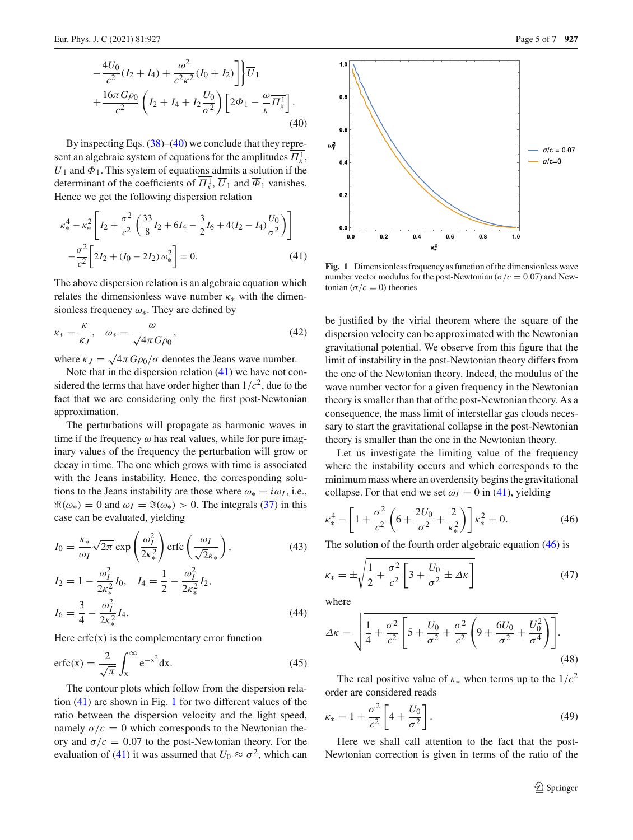By inspecting Eqs.  $(38)$ – $(40)$  we conclude that they represent an algebraic system of equations for the amplitudes  $\Pi_x^1$ ,  $\overline{U}_1$  and  $\overline{\Phi}_1$ . This system of equations admits a solution if the determinant of the coefficients of  $\Pi_x^1$ ,  $\overline{U}_1$  and  $\overline{\Phi}_1$  vanishes. Hence we get the following dispersion relation

<span id="page-4-0"></span>
$$
\kappa_{*}^{4} - \kappa_{*}^{2} \left[ I_{2} + \frac{\sigma^{2}}{c^{2}} \left( \frac{33}{8} I_{2} + 6I_{4} - \frac{3}{2} I_{6} + 4(I_{2} - I_{4}) \frac{U_{0}}{\sigma^{2}} \right) \right] - \frac{\sigma^{2}}{c^{2}} \left[ 2I_{2} + (I_{0} - 2I_{2}) \omega_{*}^{2} \right] = 0.
$$
 (41)

The above dispersion relation is an algebraic equation which relates the dimensionless wave number  $\kappa_{*}$  with the dimensionless frequency  $\omega_*$ . They are defined by

$$
\kappa_* = \frac{\kappa}{\kappa_J}, \quad \omega_* = \frac{\omega}{\sqrt{4\pi G\rho_0}},\tag{42}
$$

where  $\kappa_J = \sqrt{4\pi G \rho_0}/\sigma$  denotes the Jeans wave number.

Note that in the dispersion relation  $(41)$  we have not considered the terms that have order higher than  $1/c<sup>2</sup>$ , due to the fact that we are considering only the first post-Newtonian approximation.

The perturbations will propagate as harmonic waves in time if the frequency  $\omega$  has real values, while for pure imaginary values of the frequency the perturbation will grow or decay in time. The one which grows with time is associated with the Jeans instability. Hence, the corresponding solutions to the Jeans instability are those where  $\omega_* = i\omega_I$ , i.e.,  $\Re(\omega_*) = 0$  and  $\omega_I = \Im(\omega_*) > 0$ . The integrals [\(37\)](#page-3-8) in this case can be evaluated, yielding

$$
I_0 = \frac{\kappa_*}{\omega_I} \sqrt{2\pi} \exp\left(\frac{\omega_I^2}{2\kappa_*^2}\right) \operatorname{erfc}\left(\frac{\omega_I}{\sqrt{2}\kappa_*}\right),\tag{43}
$$

$$
I_2 = 1 - \frac{\omega_1^2}{2\kappa_*^2} I_0, \quad I_4 = \frac{1}{2} - \frac{\omega_1^2}{2\kappa_*^2} I_2,
$$
  

$$
I_6 = \frac{3}{4} - \frac{\omega_1^2}{2\kappa_*^2} I_4.
$$
 (44)

Here  $erfc(x)$  is the complementary error function

$$
\operatorname{erfc}(x) = \frac{2}{\sqrt{\pi}} \int_{x}^{\infty} e^{-x^2} dx.
$$
 (45)

The contour plots which follow from the dispersion relation  $(41)$  are shown in Fig. [1](#page-4-1) for two different values of the ratio between the dispersion velocity and the light speed, namely  $\sigma/c = 0$  which corresponds to the Newtonian theory and  $\sigma/c = 0.07$  to the post-Newtonian theory. For the evaluation of [\(41\)](#page-4-0) it was assumed that  $U_0 \approx \sigma^2$ , which can



**Fig. 1** Dimensionless frequency as function of the dimensionless wave number vector modulus for the post-Newtonian ( $\sigma/c = 0.07$ ) and Newtonian  $(\sigma/c = 0)$  theories

 $0.6$ 

 $\kappa^2$ 

0 S

10

be justified by the virial theorem where the square of the dispersion velocity can be approximated with the Newtonian gravitational potential. We observe from this figure that the limit of instability in the post-Newtonian theory differs from the one of the Newtonian theory. Indeed, the modulus of the wave number vector for a given frequency in the Newtonian theory is smaller than that of the post-Newtonian theory. As a consequence, the mass limit of interstellar gas clouds necessary to start the gravitational collapse in the post-Newtonian theory is smaller than the one in the Newtonian theory.

Let us investigate the limiting value of the frequency where the instability occurs and which corresponds to the minimum mass where an overdensity begins the gravitational collapse. For that end we set  $\omega_I = 0$  in [\(41\)](#page-4-0), yielding

<span id="page-4-2"></span>
$$
\kappa_*^4 - \left[1 + \frac{\sigma^2}{c^2} \left(6 + \frac{2U_0}{\sigma^2} + \frac{2}{\kappa_*^2}\right)\right] \kappa_*^2 = 0. \tag{46}
$$

The solution of the fourth order algebraic equation [\(46\)](#page-4-2) is

$$
\kappa_* = \pm \sqrt{\frac{1}{2} + \frac{\sigma^2}{c^2} \left[ 3 + \frac{U_0}{\sigma^2} \pm \Delta \kappa \right]}
$$
(47)

where

<span id="page-4-1"></span> $0.0$ 

 $0<sub>2</sub>$ 

 $0.4$ 

$$
\Delta \kappa = \sqrt{\frac{1}{4} + \frac{\sigma^2}{c^2} \left[ 5 + \frac{U_0}{\sigma^2} + \frac{\sigma^2}{c^2} \left( 9 + \frac{6U_0}{\sigma^2} + \frac{U_0^2}{\sigma^4} \right) \right]}.
$$
\n(48)

The real positive value of  $\kappa_*$  when terms up to the  $1/c^2$ order are considered reads

<span id="page-4-3"></span>
$$
\kappa_* = 1 + \frac{\sigma^2}{c^2} \left[ 4 + \frac{U_0}{\sigma^2} \right]. \tag{49}
$$

Here we shall call attention to the fact that the post-Newtonian correction is given in terms of the ratio of the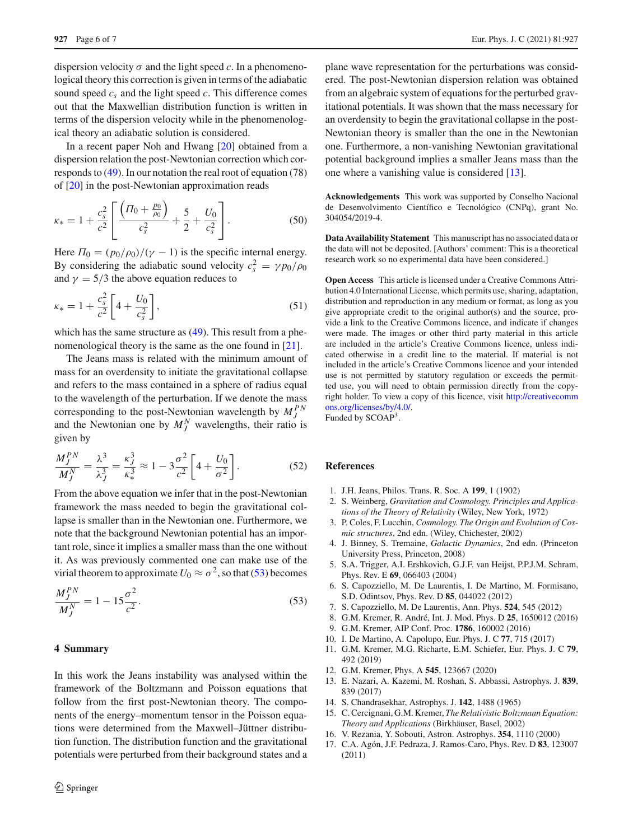dispersion velocity  $\sigma$  and the light speed *c*. In a phenomenological theory this correction is given in terms of the adiabatic sound speed  $c_s$  and the light speed  $c$ . This difference comes out that the Maxwellian distribution function is written in terms of the dispersion velocity while in the phenomenological theory an adiabatic solution is considered.

In a recent paper Noh and Hwang [\[20\]](#page-6-2) obtained from a dispersion relation the post-Newtonian correction which corresponds to [\(49\)](#page-4-3). In our notation the real root of equation (78) of [\[20](#page-6-2)] in the post-Newtonian approximation reads

$$
\kappa_{*} = 1 + \frac{c_{s}^{2}}{c^{2}} \left[ \frac{\left( \Pi_{0} + \frac{p_{0}}{\rho_{0}} \right)}{c_{s}^{2}} + \frac{5}{2} + \frac{U_{0}}{c_{s}^{2}} \right].
$$
 (50)

Here  $\Pi_0 = (p_0/\rho_0)/(\gamma - 1)$  is the specific internal energy. By considering the adiabatic sound velocity  $c_s^2 = \gamma p_0 / \rho_0$ and  $\gamma = 5/3$  the above equation reduces to

$$
\kappa_* = 1 + \frac{c_s^2}{c^2} \left[ 4 + \frac{U_0}{c_s^2} \right],\tag{51}
$$

which has the same structure as  $(49)$ . This result from a phe-nomenological theory is the same as the one found in [\[21](#page-6-3)].

The Jeans mass is related with the minimum amount of mass for an overdensity to initiate the gravitational collapse and refers to the mass contained in a sphere of radius equal to the wavelength of the perturbation. If we denote the mass corresponding to the post-Newtonian wavelength by  $M_f^{PN}$ and the Newtonian one by  $M_j^N$  wavelengths, their ratio is given by

$$
\frac{M_J^{PN}}{M_J^N} = \frac{\lambda^3}{\lambda_J^3} = \frac{\kappa_J^3}{\kappa_*^3} \approx 1 - 3\frac{\sigma^2}{c^2} \left[ 4 + \frac{U_0}{\sigma^2} \right].
$$
 (52)

From the above equation we infer that in the post-Newtonian framework the mass needed to begin the gravitational collapse is smaller than in the Newtonian one. Furthermore, we note that the background Newtonian potential has an important role, since it implies a smaller mass than the one without it. As was previously commented one can make use of the virial theorem to approximate  $U_0 \approx \sigma^2$ , so that [\(53\)](#page-5-11) becomes

<span id="page-5-11"></span>
$$
\frac{M_J^{PN}}{M_J^N} = 1 - 15 \frac{\sigma^2}{c^2}.
$$
\n(53)

#### <span id="page-5-7"></span>**4 Summary**

In this work the Jeans instability was analysed within the framework of the Boltzmann and Poisson equations that follow from the first post-Newtonian theory. The components of the energy–momentum tensor in the Poisson equations were determined from the Maxwell–Jüttner distribution function. The distribution function and the gravitational potentials were perturbed from their background states and a plane wave representation for the perturbations was considered. The post-Newtonian dispersion relation was obtained from an algebraic system of equations for the perturbed gravitational potentials. It was shown that the mass necessary for an overdensity to begin the gravitational collapse in the post-Newtonian theory is smaller than the one in the Newtonian one. Furthermore, a non-vanishing Newtonian gravitational potential background implies a smaller Jeans mass than the one where a vanishing value is considered [\[13\]](#page-5-5).

**Acknowledgements** This work was supported by Conselho Nacional de Desenvolvimento Científico e Tecnológico (CNPq), grant No. 304054/2019-4.

**Data Availability Statement** This manuscript has no associated data or the data will not be deposited. [Authors' comment: This is a theoretical research work so no experimental data have been considered.]

**Open Access** This article is licensed under a Creative Commons Attribution 4.0 International License, which permits use, sharing, adaptation, distribution and reproduction in any medium or format, as long as you give appropriate credit to the original author(s) and the source, provide a link to the Creative Commons licence, and indicate if changes were made. The images or other third party material in this article are included in the article's Creative Commons licence, unless indicated otherwise in a credit line to the material. If material is not included in the article's Creative Commons licence and your intended use is not permitted by statutory regulation or exceeds the permitted use, you will need to obtain permission directly from the copyright holder. To view a copy of this licence, visit [http://creativecomm](http://creativecommons.org/licenses/by/4.0/) [ons.org/licenses/by/4.0/.](http://creativecommons.org/licenses/by/4.0/) Funded by SCOAP3.

### **References**

- <span id="page-5-0"></span>1. J.H. Jeans, Philos. Trans. R. Soc. A **199**, 1 (1902)
- <span id="page-5-1"></span>2. S. Weinberg, *Gravitation and Cosmology. Principles and Applications of the Theory of Relativity* (Wiley, New York, 1972)
- 3. P. Coles, F. Lucchin, *Cosmology. The Origin and Evolution of Cosmic structures*, 2nd edn. (Wiley, Chichester, 2002)
- <span id="page-5-2"></span>4. J. Binney, S. Tremaine, *Galactic Dynamics*, 2nd edn. (Princeton University Press, Princeton, 2008)
- <span id="page-5-3"></span>5. S.A. Trigger, A.I. Ershkovich, G.J.F. van Heijst, P.P.J.M. Schram, Phys. Rev. E **69**, 066403 (2004)
- 6. S. Capozziello, M. De Laurentis, I. De Martino, M. Formisano, S.D. Odintsov, Phys. Rev. D **85**, 044022 (2012)
- 7. S. Capozziello, M. De Laurentis, Ann. Phys. **524**, 545 (2012)
- 8. G.M. Kremer, R. André, Int. J. Mod. Phys. D **25**, 1650012 (2016)
- 9. G.M. Kremer, AIP Conf. Proc. **1786**, 160002 (2016)
- 10. I. De Martino, A. Capolupo, Eur. Phys. J. C **77**, 715 (2017)
- 11. G.M. Kremer, M.G. Richarte, E.M. Schiefer, Eur. Phys. J. C **79**, 492 (2019)
- <span id="page-5-4"></span>12. G.M. Kremer, Phys. A **545**, 123667 (2020)
- <span id="page-5-5"></span>13. E. Nazari, A. Kazemi, M. Roshan, S. Abbassi, Astrophys. J. **839**, 839 (2017)
- <span id="page-5-6"></span>14. S. Chandrasekhar, Astrophys. J. **142**, 1488 (1965)
- <span id="page-5-8"></span>15. C. Cercignani, G.M. Kremer, *The Relativistic Boltzmann Equation: Theory and Applications* (Birkhäuser, Basel, 2002)
- <span id="page-5-9"></span>16. V. Rezania, Y. Sobouti, Astron. Astrophys. **354**, 1110 (2000)
- <span id="page-5-10"></span>17. C.A. Agón, J.F. Pedraza, J. Ramos-Caro, Phys. Rev. D **83**, 123007 (2011)